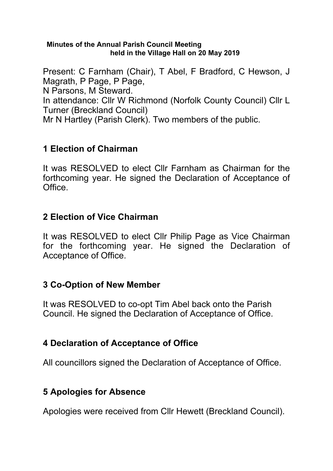#### **Minutes of the Annual Parish Council Meeting held in the Village Hall on 20 May 2019**

Present: C Farnham (Chair), T Abel, F Bradford, C Hewson, J Magrath, P Page, P Page, N Parsons, M Steward. In attendance: Cllr W Richmond (Norfolk County Council) Cllr L Turner (Breckland Council) Mr N Hartley (Parish Clerk). Two members of the public.

# **1 Election of Chairman**

It was RESOLVED to elect Cllr Farnham as Chairman for the forthcoming year. He signed the Declaration of Acceptance of **Office** 

### **2 Election of Vice Chairman**

It was RESOLVED to elect Cllr Philip Page as Vice Chairman for the forthcoming year. He signed the Declaration of Acceptance of Office.

### **3 Co-Option of New Member**

It was RESOLVED to co-opt Tim Abel back onto the Parish Council. He signed the Declaration of Acceptance of Office.

# **4 Declaration of Acceptance of Office**

All councillors signed the Declaration of Acceptance of Office.

# **5 Apologies for Absence**

Apologies were received from Cllr Hewett (Breckland Council).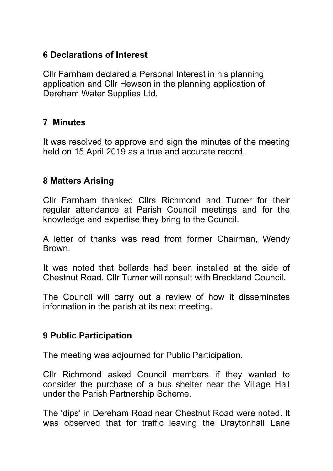### **6 Declarations of Interest**

Cllr Farnham declared a Personal Interest in his planning application and Cllr Hewson in the planning application of Dereham Water Supplies Ltd.

# **7 Minutes**

It was resolved to approve and sign the minutes of the meeting held on 15 April 2019 as a true and accurate record.

# **8 Matters Arising**

Cllr Farnham thanked Cllrs Richmond and Turner for their regular attendance at Parish Council meetings and for the knowledge and expertise they bring to the Council.

A letter of thanks was read from former Chairman, Wendy Brown.

It was noted that bollards had been installed at the side of Chestnut Road. Cllr Turner will consult with Breckland Council.

The Council will carry out a review of how it disseminates information in the parish at its next meeting.

### **9 Public Participation**

The meeting was adjourned for Public Participation.

Cllr Richmond asked Council members if they wanted to consider the purchase of a bus shelter near the Village Hall under the Parish Partnership Scheme.

The 'dips' in Dereham Road near Chestnut Road were noted. It was observed that for traffic leaving the Draytonhall Lane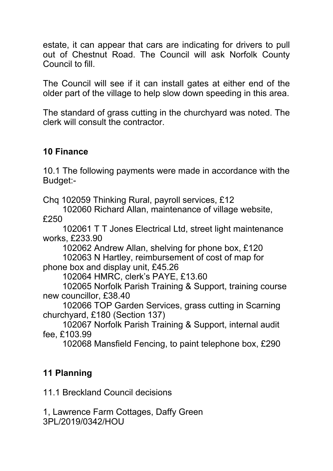estate, it can appear that cars are indicating for drivers to pull out of Chestnut Road. The Council will ask Norfolk County Council to fill.

The Council will see if it can install gates at either end of the older part of the village to help slow down speeding in this area.

The standard of grass cutting in the churchyard was noted. The clerk will consult the contractor.

### **10 Finance**

10.1 The following payments were made in accordance with the Budget:-

Chq 102059 Thinking Rural, payroll services, £12

102060 Richard Allan, maintenance of village website,

£250

 102061 T T Jones Electrical Ltd, street light maintenance works, £233.90

102062 Andrew Allan, shelving for phone box, £120

 102063 N Hartley, reimbursement of cost of map for phone box and display unit, £45.26

102064 HMRC, clerk's PAYE, £13.60

 102065 Norfolk Parish Training & Support, training course new councillor, £38.40

 102066 TOP Garden Services, grass cutting in Scarning churchyard, £180 (Section 137)

 102067 Norfolk Parish Training & Support, internal audit fee, £103.99

102068 Mansfield Fencing, to paint telephone box, £290

# **11 Planning**

11.1 Breckland Council decisions

1, Lawrence Farm Cottages, Daffy Green 3PL/2019/0342/HOU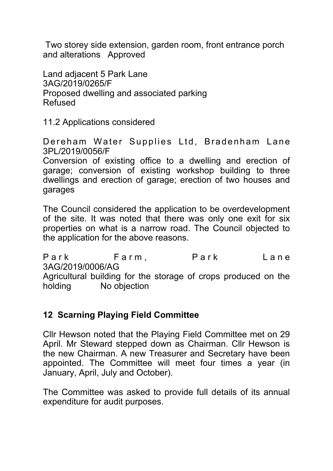Two storey side extension, garden room, front entrance porch and alterations Approved

Land adjacent 5 Park Lane 3AG/2019/0265/F Proposed dwelling and associated parking Refused

11.2 Applications considered

Dereham Water Supplies Ltd, Bradenham Lane 3PL/2019/0056/F

Conversion of existing office to a dwelling and erection of garage; conversion of existing workshop building to three dwellings and erection of garage; erection of two houses and garages

The Council considered the application to be overdevelopment of the site. It was noted that there was only one exit for six properties on what is a narrow road. The Council objected to the application for the above reasons.

Park Farm, Park Lane 3AG/2019/0006/AG Agricultural building for the storage of crops produced on the holding No objection

# **12 Scarning Playing Field Committee**

Cllr Hewson noted that the Playing Field Committee met on 29 April. Mr Steward stepped down as Chairman. Cllr Hewson is the new Chairman. A new Treasurer and Secretary have been appointed. The Committee will meet four times a year (in January, April, July and October).

The Committee was asked to provide full details of its annual expenditure for audit purposes.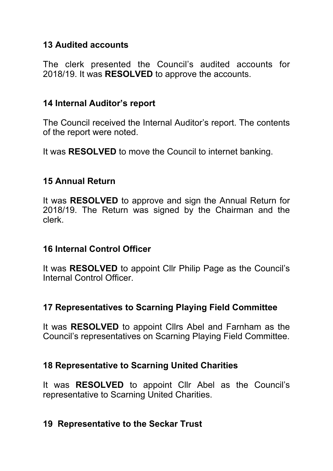### **13 Audited accounts**

The clerk presented the Council's audited accounts for 2018/19. It was **RESOLVED** to approve the accounts.

### **14 Internal Auditor's report**

The Council received the Internal Auditor's report. The contents of the report were noted.

It was **RESOLVED** to move the Council to internet banking.

### **15 Annual Return**

It was **RESOLVED** to approve and sign the Annual Return for 2018/19. The Return was signed by the Chairman and the clerk.

### **16 Internal Control Officer**

It was **RESOLVED** to appoint Cllr Philip Page as the Council's Internal Control Officer.

# **17 Representatives to Scarning Playing Field Committee**

It was **RESOLVED** to appoint Cllrs Abel and Farnham as the Council's representatives on Scarning Playing Field Committee.

# **18 Representative to Scarning United Charities**

It was **RESOLVED** to appoint Cllr Abel as the Council's representative to Scarning United Charities.

### **19 Representative to the Seckar Trust**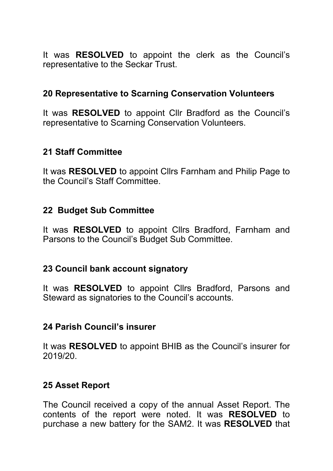It was **RESOLVED** to appoint the clerk as the Council's representative to the Seckar Trust.

### **20 Representative to Scarning Conservation Volunteers**

It was **RESOLVED** to appoint Cllr Bradford as the Council's representative to Scarning Conservation Volunteers.

#### **21 Staff Committee**

It was **RESOLVED** to appoint Cllrs Farnham and Philip Page to the Council's Staff Committee.

#### **22 Budget Sub Committee**

It was **RESOLVED** to appoint Cllrs Bradford, Farnham and Parsons to the Council's Budget Sub Committee.

### **23 Council bank account signatory**

It was **RESOLVED** to appoint Cllrs Bradford, Parsons and Steward as signatories to the Council's accounts.

#### **24 Parish Council's insurer**

It was **RESOLVED** to appoint BHIB as the Council's insurer for 2019/20.

#### **25 Asset Report**

The Council received a copy of the annual Asset Report. The contents of the report were noted. It was **RESOLVED** to purchase a new battery for the SAM2. It was **RESOLVED** that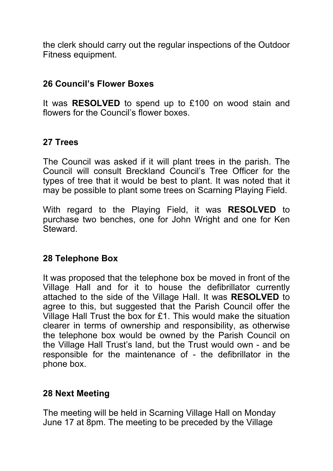the clerk should carry out the regular inspections of the Outdoor Fitness equipment.

#### **26 Council's Flower Boxes**

It was **RESOLVED** to spend up to £100 on wood stain and flowers for the Council's flower boxes.

### **27 Trees**

The Council was asked if it will plant trees in the parish. The Council will consult Breckland Council's Tree Officer for the types of tree that it would be best to plant. It was noted that it may be possible to plant some trees on Scarning Playing Field.

With regard to the Playing Field, it was **RESOLVED** to purchase two benches, one for John Wright and one for Ken **Steward** 

#### **28 Telephone Box**

It was proposed that the telephone box be moved in front of the Village Hall and for it to house the defibrillator currently attached to the side of the Village Hall. It was **RESOLVED** to agree to this, but suggested that the Parish Council offer the Village Hall Trust the box for £1. This would make the situation clearer in terms of ownership and responsibility, as otherwise the telephone box would be owned by the Parish Council on the Village Hall Trust's land, but the Trust would own - and be responsible for the maintenance of - the defibrillator in the phone box.

### **28 Next Meeting**

The meeting will be held in Scarning Village Hall on Monday June 17 at 8pm. The meeting to be preceded by the Village